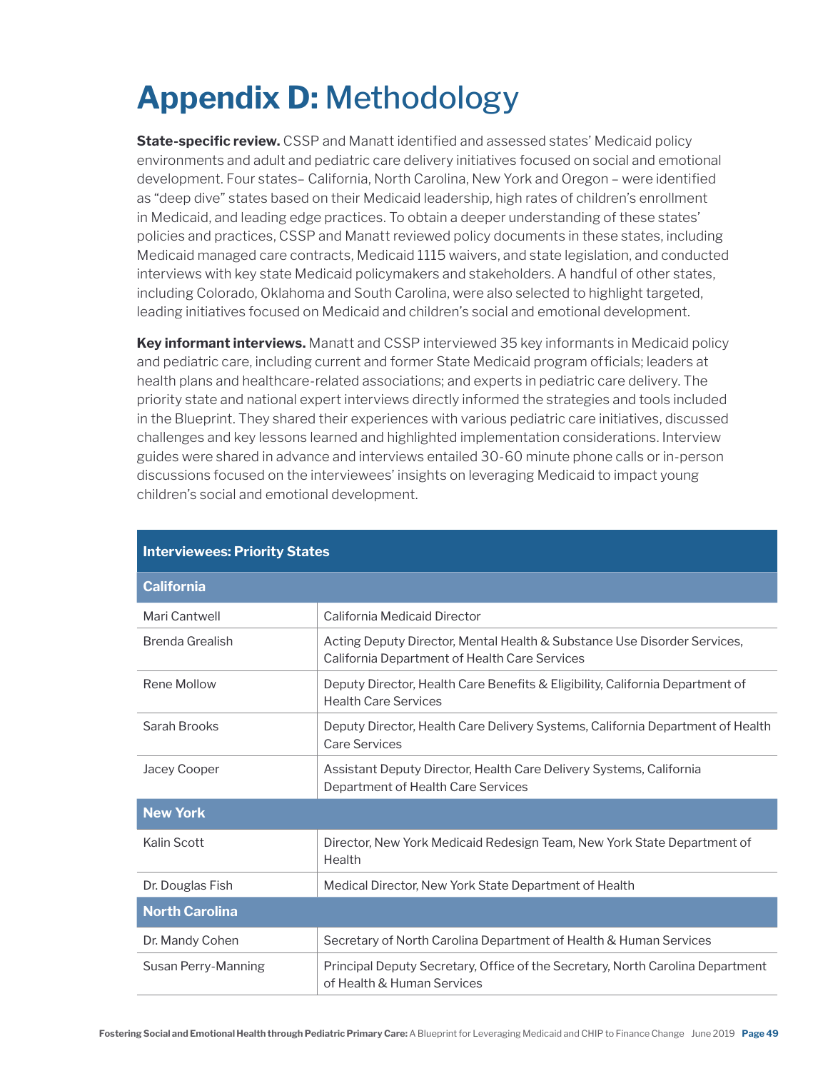# **Appendix D:** Methodology

**State-specific review.** CSSP and Manatt identified and assessed states' Medicaid policy environments and adult and pediatric care delivery initiatives focused on social and emotional development. Four states– California, North Carolina, New York and Oregon – were identified as "deep dive" states based on their Medicaid leadership, high rates of children's enrollment in Medicaid, and leading edge practices. To obtain a deeper understanding of these states' policies and practices, CSSP and Manatt reviewed policy documents in these states, including Medicaid managed care contracts, Medicaid 1115 waivers, and state legislation, and conducted interviews with key state Medicaid policymakers and stakeholders. A handful of other states, including Colorado, Oklahoma and South Carolina, were also selected to highlight targeted, leading initiatives focused on Medicaid and children's social and emotional development.

**Key informant interviews.** Manatt and CSSP interviewed 35 key informants in Medicaid policy and pediatric care, including current and former State Medicaid program officials; leaders at health plans and healthcare-related associations; and experts in pediatric care delivery. The priority state and national expert interviews directly informed the strategies and tools included in the Blueprint. They shared their experiences with various pediatric care initiatives, discussed challenges and key lessons learned and highlighted implementation considerations. Interview guides were shared in advance and interviews entailed 30-60 minute phone calls or in-person discussions focused on the interviewees' insights on leveraging Medicaid to impact young children's social and emotional development.

| <b>California</b>     |                                                                                                                           |  |
|-----------------------|---------------------------------------------------------------------------------------------------------------------------|--|
| Mari Cantwell         | California Medicaid Director                                                                                              |  |
| Brenda Grealish       | Acting Deputy Director, Mental Health & Substance Use Disorder Services,<br>California Department of Health Care Services |  |
| Rene Mollow           | Deputy Director, Health Care Benefits & Eligibility, California Department of<br><b>Health Care Services</b>              |  |
| Sarah Brooks          | Deputy Director, Health Care Delivery Systems, California Department of Health<br><b>Care Services</b>                    |  |
| Jacey Cooper          | Assistant Deputy Director, Health Care Delivery Systems, California<br>Department of Health Care Services                 |  |
| <b>New York</b>       |                                                                                                                           |  |
| Kalin Scott           | Director, New York Medicaid Redesign Team, New York State Department of<br>Health                                         |  |
| Dr. Douglas Fish      | Medical Director, New York State Department of Health                                                                     |  |
| <b>North Carolina</b> |                                                                                                                           |  |
| Dr. Mandy Cohen       | Secretary of North Carolina Department of Health & Human Services                                                         |  |
| Susan Perry-Manning   | Principal Deputy Secretary, Office of the Secretary, North Carolina Department<br>of Health & Human Services              |  |

#### **Interviewees: Priority States**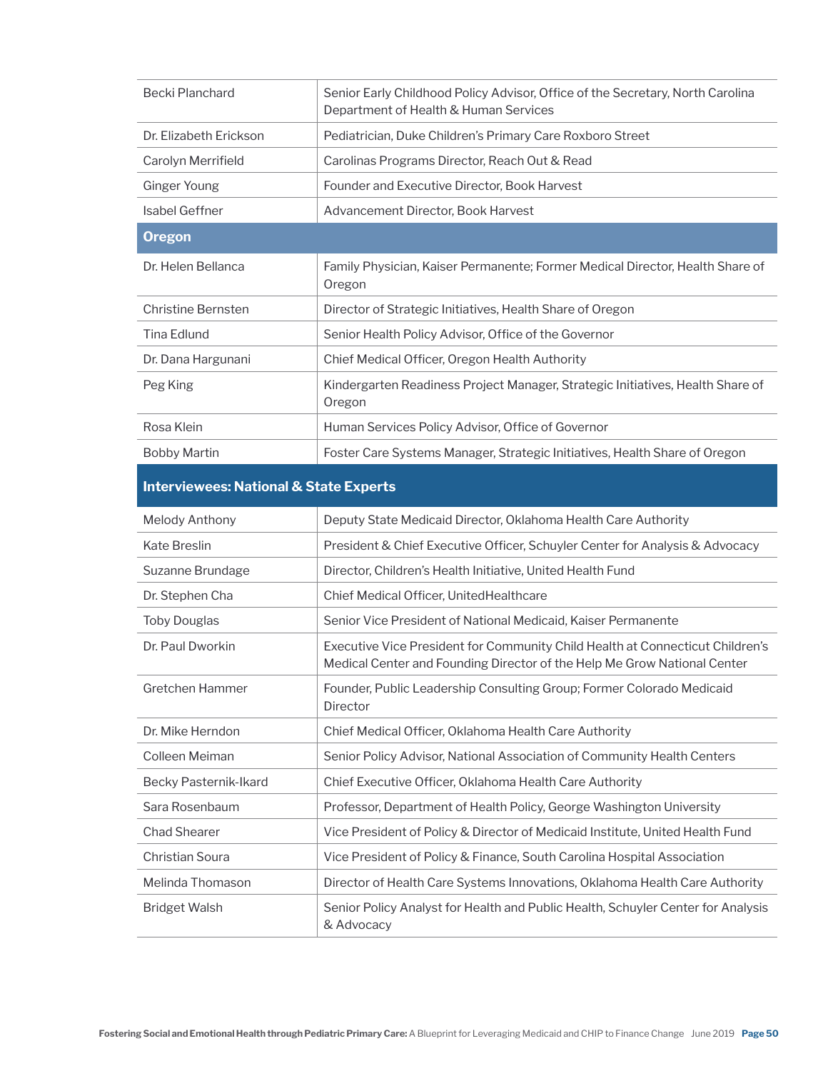| Becki Planchard                                   | Senior Early Childhood Policy Advisor, Office of the Secretary, North Carolina<br>Department of Health & Human Services |  |
|---------------------------------------------------|-------------------------------------------------------------------------------------------------------------------------|--|
| Dr. Elizabeth Erickson                            | Pediatrician, Duke Children's Primary Care Roxboro Street                                                               |  |
| Carolyn Merrifield                                | Carolinas Programs Director, Reach Out & Read                                                                           |  |
| Ginger Young                                      | Founder and Executive Director, Book Harvest                                                                            |  |
| Isabel Geffner                                    | Advancement Director, Book Harvest                                                                                      |  |
| <b>Oregon</b>                                     |                                                                                                                         |  |
| Dr. Helen Bellanca                                | Family Physician, Kaiser Permanente; Former Medical Director, Health Share of<br>Oregon                                 |  |
| Christine Bernsten                                | Director of Strategic Initiatives, Health Share of Oregon                                                               |  |
| Tina Edlund                                       | Senior Health Policy Advisor, Office of the Governor                                                                    |  |
| Dr. Dana Hargunani                                | Chief Medical Officer, Oregon Health Authority                                                                          |  |
| Peg King                                          | Kindergarten Readiness Project Manager, Strategic Initiatives, Health Share of<br>Oregon                                |  |
| Rosa Klein                                        | Human Services Policy Advisor, Office of Governor                                                                       |  |
| <b>Bobby Martin</b>                               | Foster Care Systems Manager, Strategic Initiatives, Health Share of Oregon                                              |  |
| <b>Interviewees: National &amp; State Experts</b> |                                                                                                                         |  |

## **Interviewees: National & State Experts**

| Melody Anthony               | Deputy State Medicaid Director, Oklahoma Health Care Authority                                                                                            |
|------------------------------|-----------------------------------------------------------------------------------------------------------------------------------------------------------|
| <b>Kate Breslin</b>          | President & Chief Executive Officer, Schuyler Center for Analysis & Advocacy                                                                              |
| Suzanne Brundage             | Director, Children's Health Initiative, United Health Fund                                                                                                |
| Dr. Stephen Cha              | Chief Medical Officer, United Healthcare                                                                                                                  |
| <b>Toby Douglas</b>          | Senior Vice President of National Medicaid, Kaiser Permanente                                                                                             |
| Dr. Paul Dworkin             | Executive Vice President for Community Child Health at Connecticut Children's<br>Medical Center and Founding Director of the Help Me Grow National Center |
| Gretchen Hammer              | Founder, Public Leadership Consulting Group; Former Colorado Medicaid<br><b>Director</b>                                                                  |
| Dr. Mike Herndon             | Chief Medical Officer, Oklahoma Health Care Authority                                                                                                     |
| Colleen Meiman               | Senior Policy Advisor, National Association of Community Health Centers                                                                                   |
| <b>Becky Pasternik-Ikard</b> | Chief Executive Officer, Oklahoma Health Care Authority                                                                                                   |
| Sara Rosenbaum               | Professor, Department of Health Policy, George Washington University                                                                                      |
| <b>Chad Shearer</b>          | Vice President of Policy & Director of Medicaid Institute, United Health Fund                                                                             |
| <b>Christian Soura</b>       | Vice President of Policy & Finance, South Carolina Hospital Association                                                                                   |
| Melinda Thomason             | Director of Health Care Systems Innovations, Oklahoma Health Care Authority                                                                               |
| <b>Bridget Walsh</b>         | Senior Policy Analyst for Health and Public Health, Schuyler Center for Analysis<br>& Advocacy                                                            |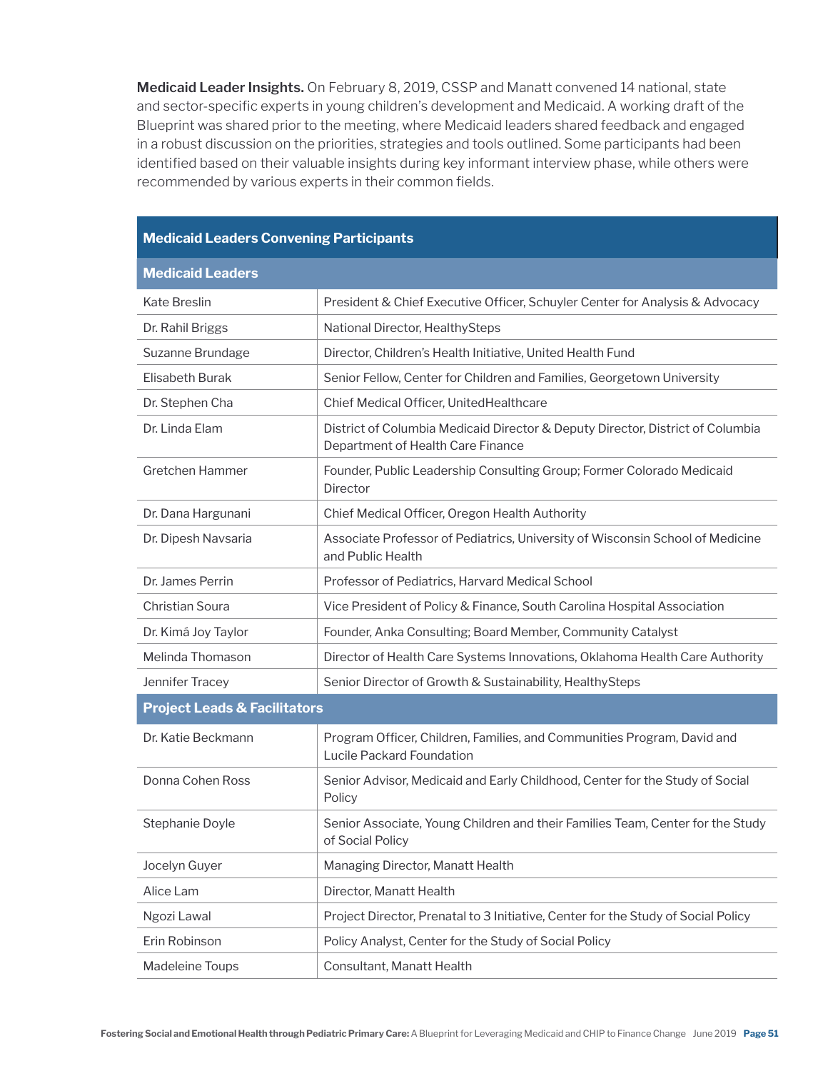**Medicaid Leader Insights.** On February 8, 2019, CSSP and Manatt convened 14 national, state and sector-specific experts in young children's development and Medicaid. A working draft of the Blueprint was shared prior to the meeting, where Medicaid leaders shared feedback and engaged in a robust discussion on the priorities, strategies and tools outlined. Some participants had been identified based on their valuable insights during key informant interview phase, while others were recommended by various experts in their common fields.

#### **Medicaid Leaders Convening Participants**

| <b>Medicaid Leaders</b>                 |                                                                                                                     |  |
|-----------------------------------------|---------------------------------------------------------------------------------------------------------------------|--|
| <b>Kate Breslin</b>                     | President & Chief Executive Officer, Schuyler Center for Analysis & Advocacy                                        |  |
| Dr. Rahil Briggs                        | National Director, HealthySteps                                                                                     |  |
| Suzanne Brundage                        | Director, Children's Health Initiative, United Health Fund                                                          |  |
| Elisabeth Burak                         | Senior Fellow, Center for Children and Families, Georgetown University                                              |  |
| Dr. Stephen Cha                         | Chief Medical Officer, UnitedHealthcare                                                                             |  |
| Dr. Linda Elam                          | District of Columbia Medicaid Director & Deputy Director, District of Columbia<br>Department of Health Care Finance |  |
| <b>Gretchen Hammer</b>                  | Founder, Public Leadership Consulting Group; Former Colorado Medicaid<br>Director                                   |  |
| Dr. Dana Hargunani                      | Chief Medical Officer, Oregon Health Authority                                                                      |  |
| Dr. Dipesh Navsaria                     | Associate Professor of Pediatrics, University of Wisconsin School of Medicine<br>and Public Health                  |  |
| Dr. James Perrin                        | Professor of Pediatrics, Harvard Medical School                                                                     |  |
| <b>Christian Soura</b>                  | Vice President of Policy & Finance, South Carolina Hospital Association                                             |  |
| Dr. Kimá Joy Taylor                     | Founder, Anka Consulting; Board Member, Community Catalyst                                                          |  |
| Melinda Thomason                        | Director of Health Care Systems Innovations, Oklahoma Health Care Authority                                         |  |
| Jennifer Tracey                         | Senior Director of Growth & Sustainability, HealthySteps                                                            |  |
| <b>Project Leads &amp; Facilitators</b> |                                                                                                                     |  |
| Dr. Katie Beckmann                      | Program Officer, Children, Families, and Communities Program, David and<br>Lucile Packard Foundation                |  |
| Donna Cohen Ross                        | Senior Advisor, Medicaid and Early Childhood, Center for the Study of Social<br>Policy                              |  |
| Stephanie Doyle                         | Senior Associate, Young Children and their Families Team, Center for the Study<br>of Social Policy                  |  |
| Jocelyn Guyer                           | Managing Director, Manatt Health                                                                                    |  |
| Alice Lam                               | Director, Manatt Health                                                                                             |  |
| Ngozi Lawal                             | Project Director, Prenatal to 3 Initiative, Center for the Study of Social Policy                                   |  |
| Erin Robinson                           | Policy Analyst, Center for the Study of Social Policy                                                               |  |
| Madeleine Toups                         | Consultant, Manatt Health                                                                                           |  |